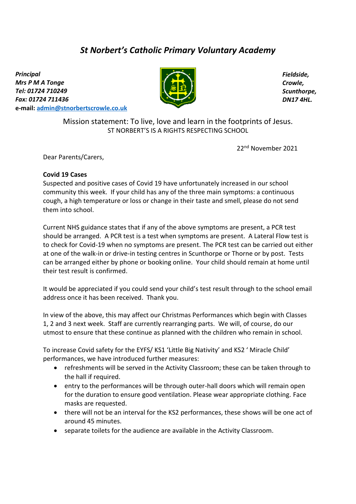## *St Norbert's Catholic Primary Voluntary Academy*

*Principal Mrs P M A Tonge Tel: 01724 710249 Fax: 01724 711436*  **e-mail: [admin@stnorbertscrowle.co.uk](mailto:admin@stnorbertscrowle.co.uk)**



*Fieldside, Crowle, Scunthorpe, DN17 4HL.*

Mission statement: To live, love and learn in the footprints of Jesus. ST NORBERT'S IS A RIGHTS RESPECTING SCHOOL

22nd November 2021

Dear Parents/Carers,

## **Covid 19 Cases**

Suspected and positive cases of Covid 19 have unfortunately increased in our school community this week. If your child has any of the three main symptoms: a continuous cough, a high temperature or loss or change in their taste and smell, please do not send them into school.

Current NHS guidance states that if any of the above symptoms are present, a PCR test should be arranged. A PCR test is a test when symptoms are present. A Lateral Flow test is to check for Covid-19 when no symptoms are present. The PCR test can be carried out either at one of the walk-in or drive-in testing centres in Scunthorpe or Thorne or by post. Tests can be arranged either by phone or booking online. Your child should remain at home until their test result is confirmed.

It would be appreciated if you could send your child's test result through to the school email address once it has been received. Thank you.

In view of the above, this may affect our Christmas Performances which begin with Classes 1, 2 and 3 next week. Staff are currently rearranging parts. We will, of course, do our utmost to ensure that these continue as planned with the children who remain in school.

To increase Covid safety for the EYFS/ KS1 'Little Big Nativity' and KS2 ' Miracle Child' performances, we have introduced further measures:

- refreshments will be served in the Activity Classroom; these can be taken through to the hall if required.
- entry to the performances will be through outer-hall doors which will remain open for the duration to ensure good ventilation. Please wear appropriate clothing. Face masks are requested.
- there will not be an interval for the KS2 performances, these shows will be one act of around 45 minutes.
- separate toilets for the audience are available in the Activity Classroom.